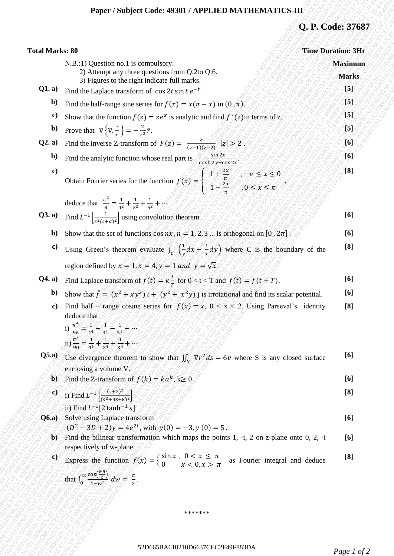## **Paper / Subject Code: 49301 / APPLIED MATHEMATICS-III**

# **Q. P. Code: 37687**

| <b>Total Marks: 80</b><br>N.B.:1) Question no.1 is compulsory.<br>2) Attempt any three questions from Q.2to Q.6.<br>3) Figures to the right indicate full marks.<br>Q1. a)<br>Find the Laplace transform of $\cos 2t \sin t e^{-t}$ .<br>b)<br>Find the half-range sine series for $f(x) = x(\pi - x)$ in $(0, \pi)$ .<br>$\mathbf{c}$<br>Show that the function $f(z) = ze^z$ is analytic and find $f'(z)$ in terms of z.<br>Prove that $\nabla \left\{ \nabla \cdot \frac{\vec{r}}{r} \right\} = -\frac{2}{r^3} \vec{r}$ .<br>$\mathbf{b}$<br>Find the inverse Z-transform of $F(z) = \frac{z}{(z-1)(z-2)} z  > 2$ .<br>Q2. a)<br>Find the analytic function whose real part is $\frac{\sin 2x}{\cosh 2y + \cos 2x}$<br>$\mathbf{b}$<br>$\bf c)$<br>Obtain Fourier series for the function $f(x) =\begin{cases} 1 + \frac{2x}{\pi} & -\pi \le x \le 0 \\ 1 - \frac{2x}{\pi} & 0 \le x \le \pi \end{cases}$<br>deduce that $\frac{\pi^2}{8} = \frac{1}{1^2} + \frac{1}{3^2} + \frac{1}{5^2} + \cdots$<br><b>Q3. a)</b> Find $L^{-1} \left[ \frac{1}{s^2 (s+a)^2} \right]$ using convolution theorem.<br>Show that the set of functions $\cos nx$ , $n = 1, 2, 3 $ is orthogonal on [0, $2\pi$ ].<br>$\mathbf{b}$<br>Using Green's theorem evaluate $\int_C \left(\frac{1}{y}dx + \frac{1}{x}dy\right)$ where C is the boundary of the<br>$\bf c)$<br>region defined by $x = 1$ , $x = 4$ , $y = 1$ and $y = \sqrt{x}$ .<br>Find Laplace transform of $f(t) = k\frac{t}{T}$ for $0 < t < T$ and $f(t) = f(t + T)$ .<br>Q4. a)<br>$\mathbf{b}$<br>Show that $\bar{f} = (x^2 + xy^2)i + (y^2 + x^2y)$ j is irrotational and find its scalar potential.<br>Find half – range cosine series for $f(x) = x$ , $0 < x < 2$ . Using Parseval's identity<br>c)<br>deduce that<br>i) $\frac{\pi^4}{26}$ = $\frac{1}{14}$ + $\frac{1}{24}$ = $\frac{1}{44}$ + $\frac{1}{24}$<br>ii) $\frac{\pi^4}{20} = \frac{1}{14} + \frac{1}{24} + \frac{1}{24} + \cdots$<br><b>Q5.a</b> ) Use divergence theorem to show that $\iint_S \nabla r^2 \, d\vec{s} = 6v$ where S is any closed surface<br>enclosing a volume V.<br><b>b</b> ) Find the Z-transform of $f(k) = k\alpha^k$ , $k \ge 0$ .<br><b>c</b> ) i) Find $L^{-1} \left[ \frac{(s+2)^2}{(s^2+4s+8)^2} \right]$<br>ii) Find $L^{-1}[2 \tanh^{-1} s]$<br>Solve using Laplace transform<br>Q6.a)<br>$(D^2-3D+2)y=4e^{2t}$ , with $y(0)=-3$ , $y'(0)=5$ .<br>b) Find the bilinear transformation which maps the points 1, $-i$ , 2 on z-plane onto 0, 2, $-i$<br>respectively of w-plane. | Q. P. Code: 37687         |
|-------------------------------------------------------------------------------------------------------------------------------------------------------------------------------------------------------------------------------------------------------------------------------------------------------------------------------------------------------------------------------------------------------------------------------------------------------------------------------------------------------------------------------------------------------------------------------------------------------------------------------------------------------------------------------------------------------------------------------------------------------------------------------------------------------------------------------------------------------------------------------------------------------------------------------------------------------------------------------------------------------------------------------------------------------------------------------------------------------------------------------------------------------------------------------------------------------------------------------------------------------------------------------------------------------------------------------------------------------------------------------------------------------------------------------------------------------------------------------------------------------------------------------------------------------------------------------------------------------------------------------------------------------------------------------------------------------------------------------------------------------------------------------------------------------------------------------------------------------------------------------------------------------------------------------------------------------------------------------------------------------------------------------------------------------------------------------------------------------------------------------------------------------------------------------------------------------------------------------------------------------------------------------------------------------------------------------------------------------------------------------------------------------------------------------------------------------------------------------------------------------------------------------|---------------------------|
|                                                                                                                                                                                                                                                                                                                                                                                                                                                                                                                                                                                                                                                                                                                                                                                                                                                                                                                                                                                                                                                                                                                                                                                                                                                                                                                                                                                                                                                                                                                                                                                                                                                                                                                                                                                                                                                                                                                                                                                                                                                                                                                                                                                                                                                                                                                                                                                                                                                                                                                               | <b>Time Duration: 3Hr</b> |
|                                                                                                                                                                                                                                                                                                                                                                                                                                                                                                                                                                                                                                                                                                                                                                                                                                                                                                                                                                                                                                                                                                                                                                                                                                                                                                                                                                                                                                                                                                                                                                                                                                                                                                                                                                                                                                                                                                                                                                                                                                                                                                                                                                                                                                                                                                                                                                                                                                                                                                                               | <b>Maximum</b>            |
|                                                                                                                                                                                                                                                                                                                                                                                                                                                                                                                                                                                                                                                                                                                                                                                                                                                                                                                                                                                                                                                                                                                                                                                                                                                                                                                                                                                                                                                                                                                                                                                                                                                                                                                                                                                                                                                                                                                                                                                                                                                                                                                                                                                                                                                                                                                                                                                                                                                                                                                               | <b>Marks</b>              |
|                                                                                                                                                                                                                                                                                                                                                                                                                                                                                                                                                                                                                                                                                                                                                                                                                                                                                                                                                                                                                                                                                                                                                                                                                                                                                                                                                                                                                                                                                                                                                                                                                                                                                                                                                                                                                                                                                                                                                                                                                                                                                                                                                                                                                                                                                                                                                                                                                                                                                                                               | -[5]                      |
|                                                                                                                                                                                                                                                                                                                                                                                                                                                                                                                                                                                                                                                                                                                                                                                                                                                                                                                                                                                                                                                                                                                                                                                                                                                                                                                                                                                                                                                                                                                                                                                                                                                                                                                                                                                                                                                                                                                                                                                                                                                                                                                                                                                                                                                                                                                                                                                                                                                                                                                               | 15]                       |
|                                                                                                                                                                                                                                                                                                                                                                                                                                                                                                                                                                                                                                                                                                                                                                                                                                                                                                                                                                                                                                                                                                                                                                                                                                                                                                                                                                                                                                                                                                                                                                                                                                                                                                                                                                                                                                                                                                                                                                                                                                                                                                                                                                                                                                                                                                                                                                                                                                                                                                                               | [5]                       |
|                                                                                                                                                                                                                                                                                                                                                                                                                                                                                                                                                                                                                                                                                                                                                                                                                                                                                                                                                                                                                                                                                                                                                                                                                                                                                                                                                                                                                                                                                                                                                                                                                                                                                                                                                                                                                                                                                                                                                                                                                                                                                                                                                                                                                                                                                                                                                                                                                                                                                                                               | [5]                       |
|                                                                                                                                                                                                                                                                                                                                                                                                                                                                                                                                                                                                                                                                                                                                                                                                                                                                                                                                                                                                                                                                                                                                                                                                                                                                                                                                                                                                                                                                                                                                                                                                                                                                                                                                                                                                                                                                                                                                                                                                                                                                                                                                                                                                                                                                                                                                                                                                                                                                                                                               | [6]                       |
|                                                                                                                                                                                                                                                                                                                                                                                                                                                                                                                                                                                                                                                                                                                                                                                                                                                                                                                                                                                                                                                                                                                                                                                                                                                                                                                                                                                                                                                                                                                                                                                                                                                                                                                                                                                                                                                                                                                                                                                                                                                                                                                                                                                                                                                                                                                                                                                                                                                                                                                               | [Q]                       |
|                                                                                                                                                                                                                                                                                                                                                                                                                                                                                                                                                                                                                                                                                                                                                                                                                                                                                                                                                                                                                                                                                                                                                                                                                                                                                                                                                                                                                                                                                                                                                                                                                                                                                                                                                                                                                                                                                                                                                                                                                                                                                                                                                                                                                                                                                                                                                                                                                                                                                                                               | [8]                       |
|                                                                                                                                                                                                                                                                                                                                                                                                                                                                                                                                                                                                                                                                                                                                                                                                                                                                                                                                                                                                                                                                                                                                                                                                                                                                                                                                                                                                                                                                                                                                                                                                                                                                                                                                                                                                                                                                                                                                                                                                                                                                                                                                                                                                                                                                                                                                                                                                                                                                                                                               |                           |
|                                                                                                                                                                                                                                                                                                                                                                                                                                                                                                                                                                                                                                                                                                                                                                                                                                                                                                                                                                                                                                                                                                                                                                                                                                                                                                                                                                                                                                                                                                                                                                                                                                                                                                                                                                                                                                                                                                                                                                                                                                                                                                                                                                                                                                                                                                                                                                                                                                                                                                                               | [6]                       |
|                                                                                                                                                                                                                                                                                                                                                                                                                                                                                                                                                                                                                                                                                                                                                                                                                                                                                                                                                                                                                                                                                                                                                                                                                                                                                                                                                                                                                                                                                                                                                                                                                                                                                                                                                                                                                                                                                                                                                                                                                                                                                                                                                                                                                                                                                                                                                                                                                                                                                                                               | [6]                       |
|                                                                                                                                                                                                                                                                                                                                                                                                                                                                                                                                                                                                                                                                                                                                                                                                                                                                                                                                                                                                                                                                                                                                                                                                                                                                                                                                                                                                                                                                                                                                                                                                                                                                                                                                                                                                                                                                                                                                                                                                                                                                                                                                                                                                                                                                                                                                                                                                                                                                                                                               | [8]                       |
|                                                                                                                                                                                                                                                                                                                                                                                                                                                                                                                                                                                                                                                                                                                                                                                                                                                                                                                                                                                                                                                                                                                                                                                                                                                                                                                                                                                                                                                                                                                                                                                                                                                                                                                                                                                                                                                                                                                                                                                                                                                                                                                                                                                                                                                                                                                                                                                                                                                                                                                               |                           |
|                                                                                                                                                                                                                                                                                                                                                                                                                                                                                                                                                                                                                                                                                                                                                                                                                                                                                                                                                                                                                                                                                                                                                                                                                                                                                                                                                                                                                                                                                                                                                                                                                                                                                                                                                                                                                                                                                                                                                                                                                                                                                                                                                                                                                                                                                                                                                                                                                                                                                                                               | [6]                       |
|                                                                                                                                                                                                                                                                                                                                                                                                                                                                                                                                                                                                                                                                                                                                                                                                                                                                                                                                                                                                                                                                                                                                                                                                                                                                                                                                                                                                                                                                                                                                                                                                                                                                                                                                                                                                                                                                                                                                                                                                                                                                                                                                                                                                                                                                                                                                                                                                                                                                                                                               | [6]                       |
|                                                                                                                                                                                                                                                                                                                                                                                                                                                                                                                                                                                                                                                                                                                                                                                                                                                                                                                                                                                                                                                                                                                                                                                                                                                                                                                                                                                                                                                                                                                                                                                                                                                                                                                                                                                                                                                                                                                                                                                                                                                                                                                                                                                                                                                                                                                                                                                                                                                                                                                               | [8]                       |
|                                                                                                                                                                                                                                                                                                                                                                                                                                                                                                                                                                                                                                                                                                                                                                                                                                                                                                                                                                                                                                                                                                                                                                                                                                                                                                                                                                                                                                                                                                                                                                                                                                                                                                                                                                                                                                                                                                                                                                                                                                                                                                                                                                                                                                                                                                                                                                                                                                                                                                                               |                           |
|                                                                                                                                                                                                                                                                                                                                                                                                                                                                                                                                                                                                                                                                                                                                                                                                                                                                                                                                                                                                                                                                                                                                                                                                                                                                                                                                                                                                                                                                                                                                                                                                                                                                                                                                                                                                                                                                                                                                                                                                                                                                                                                                                                                                                                                                                                                                                                                                                                                                                                                               | [6]                       |
|                                                                                                                                                                                                                                                                                                                                                                                                                                                                                                                                                                                                                                                                                                                                                                                                                                                                                                                                                                                                                                                                                                                                                                                                                                                                                                                                                                                                                                                                                                                                                                                                                                                                                                                                                                                                                                                                                                                                                                                                                                                                                                                                                                                                                                                                                                                                                                                                                                                                                                                               | [6]                       |
|                                                                                                                                                                                                                                                                                                                                                                                                                                                                                                                                                                                                                                                                                                                                                                                                                                                                                                                                                                                                                                                                                                                                                                                                                                                                                                                                                                                                                                                                                                                                                                                                                                                                                                                                                                                                                                                                                                                                                                                                                                                                                                                                                                                                                                                                                                                                                                                                                                                                                                                               | [8]                       |
|                                                                                                                                                                                                                                                                                                                                                                                                                                                                                                                                                                                                                                                                                                                                                                                                                                                                                                                                                                                                                                                                                                                                                                                                                                                                                                                                                                                                                                                                                                                                                                                                                                                                                                                                                                                                                                                                                                                                                                                                                                                                                                                                                                                                                                                                                                                                                                                                                                                                                                                               | [6]                       |
|                                                                                                                                                                                                                                                                                                                                                                                                                                                                                                                                                                                                                                                                                                                                                                                                                                                                                                                                                                                                                                                                                                                                                                                                                                                                                                                                                                                                                                                                                                                                                                                                                                                                                                                                                                                                                                                                                                                                                                                                                                                                                                                                                                                                                                                                                                                                                                                                                                                                                                                               | [6]                       |
| $\omega$                                                                                                                                                                                                                                                                                                                                                                                                                                                                                                                                                                                                                                                                                                                                                                                                                                                                                                                                                                                                                                                                                                                                                                                                                                                                                                                                                                                                                                                                                                                                                                                                                                                                                                                                                                                                                                                                                                                                                                                                                                                                                                                                                                                                                                                                                                                                                                                                                                                                                                                      | [8]                       |
| Express the function $f(x) = \begin{cases} \sin x , 0 < x \le \pi \\ 0 , x < 0, x > \pi \end{cases}$ as Fourier integral and deduce<br>that $\int_0^\infty \frac{\cos(\frac{w\pi}{2})}{1-w^2} dw = \frac{\pi}{2}$ .                                                                                                                                                                                                                                                                                                                                                                                                                                                                                                                                                                                                                                                                                                                                                                                                                                                                                                                                                                                                                                                                                                                                                                                                                                                                                                                                                                                                                                                                                                                                                                                                                                                                                                                                                                                                                                                                                                                                                                                                                                                                                                                                                                                                                                                                                                           |                           |
|                                                                                                                                                                                                                                                                                                                                                                                                                                                                                                                                                                                                                                                                                                                                                                                                                                                                                                                                                                                                                                                                                                                                                                                                                                                                                                                                                                                                                                                                                                                                                                                                                                                                                                                                                                                                                                                                                                                                                                                                                                                                                                                                                                                                                                                                                                                                                                                                                                                                                                                               |                           |
|                                                                                                                                                                                                                                                                                                                                                                                                                                                                                                                                                                                                                                                                                                                                                                                                                                                                                                                                                                                                                                                                                                                                                                                                                                                                                                                                                                                                                                                                                                                                                                                                                                                                                                                                                                                                                                                                                                                                                                                                                                                                                                                                                                                                                                                                                                                                                                                                                                                                                                                               |                           |
| *******                                                                                                                                                                                                                                                                                                                                                                                                                                                                                                                                                                                                                                                                                                                                                                                                                                                                                                                                                                                                                                                                                                                                                                                                                                                                                                                                                                                                                                                                                                                                                                                                                                                                                                                                                                                                                                                                                                                                                                                                                                                                                                                                                                                                                                                                                                                                                                                                                                                                                                                       |                           |
| 52D665BA610210D6637CEC2F49F883DA                                                                                                                                                                                                                                                                                                                                                                                                                                                                                                                                                                                                                                                                                                                                                                                                                                                                                                                                                                                                                                                                                                                                                                                                                                                                                                                                                                                                                                                                                                                                                                                                                                                                                                                                                                                                                                                                                                                                                                                                                                                                                                                                                                                                                                                                                                                                                                                                                                                                                              | Page 1 of 2               |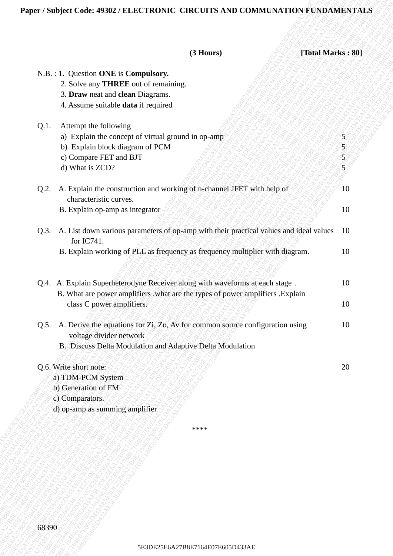## **Paper / Subject Code: 49302 / ELECTRONIC CIRCUITS AND COMMUNATION FUNDAMENTALS**

| (3 Hours)<br>[Total Marks: 80]<br>N.B. : 1. Question ONE is Compulsory.<br>2. Solve any THREE out of remaining.<br>3. Draw neat and clean Diagrams.<br>4. Assume suitable data if required<br>Attempt the following<br>Q.1.<br>a) Explain the concept of virtual ground in op-amp<br>$\mathcal{F}$<br>b) Explain block diagram of PCM<br>$\frac{5}{5}$<br>c) Compare FET and BJT<br>$\widetilde{\mathbf{5}}$<br>d) What is ZCD?<br>Q.2. A. Explain the construction and working of n-channel JFET with help of<br>10<br>characteristic curves.<br>B. Explain op-amp as integrator<br>10<br>Q.3. A. List down various parameters of op-amp with their practical values and ideal values<br>10<br>for IC741.<br>B. Explain working of PLL as frequency as frequency multiplier with diagram.<br>10<br>Q.4. A. Explain Superheterodyne Receiver along with waveforms at each stage.<br>10<br>B. What are power amplifiers what are the types of power amplifiers . Explain<br>class C power amplifiers.<br>10<br>Q.5. A. Derive the equations for Zi, Zo, Av for common source configuration using<br>10<br>voltage divider network<br>B. Discuss Delta Modulation and Adaptive Delta Modulation<br>Q.6. Write short note:<br>20<br>a) TDM-PCM System<br>b) Generation of FM<br>c) Comparators.<br>d) op-amp as summing amplifier<br>****<br>68390<br>5E3DE25E6A27B8E7164E07E605D433AE | Paper / Subject Code: 49302 / ELECTRONIC CIRCUITS AND COMMUNATION FUNDAMENTALS |  |
|-------------------------------------------------------------------------------------------------------------------------------------------------------------------------------------------------------------------------------------------------------------------------------------------------------------------------------------------------------------------------------------------------------------------------------------------------------------------------------------------------------------------------------------------------------------------------------------------------------------------------------------------------------------------------------------------------------------------------------------------------------------------------------------------------------------------------------------------------------------------------------------------------------------------------------------------------------------------------------------------------------------------------------------------------------------------------------------------------------------------------------------------------------------------------------------------------------------------------------------------------------------------------------------------------------------------------------------------------------------------------------------|--------------------------------------------------------------------------------|--|
|                                                                                                                                                                                                                                                                                                                                                                                                                                                                                                                                                                                                                                                                                                                                                                                                                                                                                                                                                                                                                                                                                                                                                                                                                                                                                                                                                                                     |                                                                                |  |
|                                                                                                                                                                                                                                                                                                                                                                                                                                                                                                                                                                                                                                                                                                                                                                                                                                                                                                                                                                                                                                                                                                                                                                                                                                                                                                                                                                                     |                                                                                |  |
|                                                                                                                                                                                                                                                                                                                                                                                                                                                                                                                                                                                                                                                                                                                                                                                                                                                                                                                                                                                                                                                                                                                                                                                                                                                                                                                                                                                     |                                                                                |  |
|                                                                                                                                                                                                                                                                                                                                                                                                                                                                                                                                                                                                                                                                                                                                                                                                                                                                                                                                                                                                                                                                                                                                                                                                                                                                                                                                                                                     |                                                                                |  |
|                                                                                                                                                                                                                                                                                                                                                                                                                                                                                                                                                                                                                                                                                                                                                                                                                                                                                                                                                                                                                                                                                                                                                                                                                                                                                                                                                                                     |                                                                                |  |
|                                                                                                                                                                                                                                                                                                                                                                                                                                                                                                                                                                                                                                                                                                                                                                                                                                                                                                                                                                                                                                                                                                                                                                                                                                                                                                                                                                                     |                                                                                |  |
|                                                                                                                                                                                                                                                                                                                                                                                                                                                                                                                                                                                                                                                                                                                                                                                                                                                                                                                                                                                                                                                                                                                                                                                                                                                                                                                                                                                     |                                                                                |  |
|                                                                                                                                                                                                                                                                                                                                                                                                                                                                                                                                                                                                                                                                                                                                                                                                                                                                                                                                                                                                                                                                                                                                                                                                                                                                                                                                                                                     |                                                                                |  |
|                                                                                                                                                                                                                                                                                                                                                                                                                                                                                                                                                                                                                                                                                                                                                                                                                                                                                                                                                                                                                                                                                                                                                                                                                                                                                                                                                                                     |                                                                                |  |
|                                                                                                                                                                                                                                                                                                                                                                                                                                                                                                                                                                                                                                                                                                                                                                                                                                                                                                                                                                                                                                                                                                                                                                                                                                                                                                                                                                                     |                                                                                |  |
|                                                                                                                                                                                                                                                                                                                                                                                                                                                                                                                                                                                                                                                                                                                                                                                                                                                                                                                                                                                                                                                                                                                                                                                                                                                                                                                                                                                     |                                                                                |  |
|                                                                                                                                                                                                                                                                                                                                                                                                                                                                                                                                                                                                                                                                                                                                                                                                                                                                                                                                                                                                                                                                                                                                                                                                                                                                                                                                                                                     |                                                                                |  |
|                                                                                                                                                                                                                                                                                                                                                                                                                                                                                                                                                                                                                                                                                                                                                                                                                                                                                                                                                                                                                                                                                                                                                                                                                                                                                                                                                                                     |                                                                                |  |
|                                                                                                                                                                                                                                                                                                                                                                                                                                                                                                                                                                                                                                                                                                                                                                                                                                                                                                                                                                                                                                                                                                                                                                                                                                                                                                                                                                                     |                                                                                |  |
|                                                                                                                                                                                                                                                                                                                                                                                                                                                                                                                                                                                                                                                                                                                                                                                                                                                                                                                                                                                                                                                                                                                                                                                                                                                                                                                                                                                     |                                                                                |  |
|                                                                                                                                                                                                                                                                                                                                                                                                                                                                                                                                                                                                                                                                                                                                                                                                                                                                                                                                                                                                                                                                                                                                                                                                                                                                                                                                                                                     |                                                                                |  |
|                                                                                                                                                                                                                                                                                                                                                                                                                                                                                                                                                                                                                                                                                                                                                                                                                                                                                                                                                                                                                                                                                                                                                                                                                                                                                                                                                                                     |                                                                                |  |
|                                                                                                                                                                                                                                                                                                                                                                                                                                                                                                                                                                                                                                                                                                                                                                                                                                                                                                                                                                                                                                                                                                                                                                                                                                                                                                                                                                                     |                                                                                |  |
|                                                                                                                                                                                                                                                                                                                                                                                                                                                                                                                                                                                                                                                                                                                                                                                                                                                                                                                                                                                                                                                                                                                                                                                                                                                                                                                                                                                     |                                                                                |  |
|                                                                                                                                                                                                                                                                                                                                                                                                                                                                                                                                                                                                                                                                                                                                                                                                                                                                                                                                                                                                                                                                                                                                                                                                                                                                                                                                                                                     |                                                                                |  |
|                                                                                                                                                                                                                                                                                                                                                                                                                                                                                                                                                                                                                                                                                                                                                                                                                                                                                                                                                                                                                                                                                                                                                                                                                                                                                                                                                                                     |                                                                                |  |
|                                                                                                                                                                                                                                                                                                                                                                                                                                                                                                                                                                                                                                                                                                                                                                                                                                                                                                                                                                                                                                                                                                                                                                                                                                                                                                                                                                                     |                                                                                |  |
|                                                                                                                                                                                                                                                                                                                                                                                                                                                                                                                                                                                                                                                                                                                                                                                                                                                                                                                                                                                                                                                                                                                                                                                                                                                                                                                                                                                     |                                                                                |  |
|                                                                                                                                                                                                                                                                                                                                                                                                                                                                                                                                                                                                                                                                                                                                                                                                                                                                                                                                                                                                                                                                                                                                                                                                                                                                                                                                                                                     |                                                                                |  |
|                                                                                                                                                                                                                                                                                                                                                                                                                                                                                                                                                                                                                                                                                                                                                                                                                                                                                                                                                                                                                                                                                                                                                                                                                                                                                                                                                                                     |                                                                                |  |
|                                                                                                                                                                                                                                                                                                                                                                                                                                                                                                                                                                                                                                                                                                                                                                                                                                                                                                                                                                                                                                                                                                                                                                                                                                                                                                                                                                                     |                                                                                |  |
|                                                                                                                                                                                                                                                                                                                                                                                                                                                                                                                                                                                                                                                                                                                                                                                                                                                                                                                                                                                                                                                                                                                                                                                                                                                                                                                                                                                     |                                                                                |  |
|                                                                                                                                                                                                                                                                                                                                                                                                                                                                                                                                                                                                                                                                                                                                                                                                                                                                                                                                                                                                                                                                                                                                                                                                                                                                                                                                                                                     |                                                                                |  |
|                                                                                                                                                                                                                                                                                                                                                                                                                                                                                                                                                                                                                                                                                                                                                                                                                                                                                                                                                                                                                                                                                                                                                                                                                                                                                                                                                                                     |                                                                                |  |
|                                                                                                                                                                                                                                                                                                                                                                                                                                                                                                                                                                                                                                                                                                                                                                                                                                                                                                                                                                                                                                                                                                                                                                                                                                                                                                                                                                                     |                                                                                |  |
|                                                                                                                                                                                                                                                                                                                                                                                                                                                                                                                                                                                                                                                                                                                                                                                                                                                                                                                                                                                                                                                                                                                                                                                                                                                                                                                                                                                     |                                                                                |  |
|                                                                                                                                                                                                                                                                                                                                                                                                                                                                                                                                                                                                                                                                                                                                                                                                                                                                                                                                                                                                                                                                                                                                                                                                                                                                                                                                                                                     |                                                                                |  |
|                                                                                                                                                                                                                                                                                                                                                                                                                                                                                                                                                                                                                                                                                                                                                                                                                                                                                                                                                                                                                                                                                                                                                                                                                                                                                                                                                                                     |                                                                                |  |
|                                                                                                                                                                                                                                                                                                                                                                                                                                                                                                                                                                                                                                                                                                                                                                                                                                                                                                                                                                                                                                                                                                                                                                                                                                                                                                                                                                                     |                                                                                |  |
|                                                                                                                                                                                                                                                                                                                                                                                                                                                                                                                                                                                                                                                                                                                                                                                                                                                                                                                                                                                                                                                                                                                                                                                                                                                                                                                                                                                     |                                                                                |  |
|                                                                                                                                                                                                                                                                                                                                                                                                                                                                                                                                                                                                                                                                                                                                                                                                                                                                                                                                                                                                                                                                                                                                                                                                                                                                                                                                                                                     |                                                                                |  |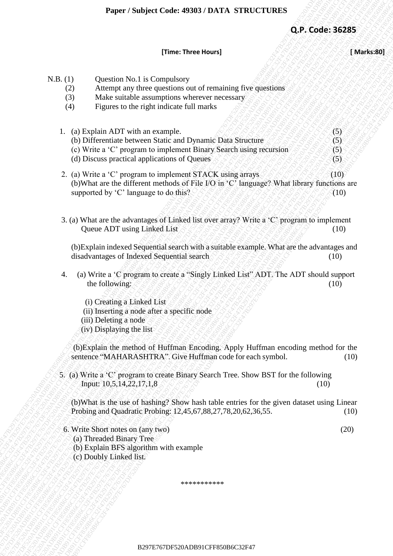## **[Time: Three Hours] [ Marks:80]**

|                               | Paper / Subject Code: 49303 / DATA STRUCTURES                                                                                                                                                                                           |                          |
|-------------------------------|-----------------------------------------------------------------------------------------------------------------------------------------------------------------------------------------------------------------------------------------|--------------------------|
|                               |                                                                                                                                                                                                                                         | Q.P. Code: 36285         |
|                               | [Time: Three Hours]                                                                                                                                                                                                                     | [ Marks:80]              |
| N.B. (1)<br>(2)<br>(3)<br>(4) | Question No.1 is Compulsory<br>Attempt any three questions out of remaining five questions<br>Make suitable assumptions wherever necessary<br>Figures to the right indicate full marks                                                  |                          |
|                               | 1. (a) Explain ADT with an example.<br>(b) Differentiate between Static and Dynamic Data Structure<br>(c) Write a 'C' program to implement Binary Search using recursion<br>(d) Discuss practical applications of Queues                | (5)<br>(5)<br>(5)<br>(5) |
|                               | 2. (a) Write a 'C' program to implement STACK using arrays<br>(b) What are the different methods of File I/O in 'C' language? What library functions are<br>supported by 'C' language to do this?                                       | (10)<br>(10)             |
|                               | 3. (a) What are the advantages of Linked list over array? Write a 'C' program to implement<br>Queue ADT using Linked List                                                                                                               | (10)                     |
|                               | (b) Explain indexed Sequential search with a suitable example. What are the advantages and<br>disadvantages of Indexed Sequential search                                                                                                | (10)                     |
| 4.                            | (a) Write a 'C program to create a "Singly Linked List" ADT. The ADT should support<br>the following:<br>(i) Creating a Linked List<br>(ii) Inserting a node after a specific node<br>(iii) Deleting a node<br>(iv) Displaying the list | (10)                     |
|                               | (b) Explain the method of Huffman Encoding. Apply Huffman encoding method for the<br>sentence "MAHARASHTRA". Give Huffman code for each symbol.                                                                                         | (10)                     |
|                               | 5. (a) Write a 'C' program to create Binary Search Tree. Show BST for the following<br>Input: 10,5,14,22,17,1,8                                                                                                                         | (10)                     |
|                               | (b) What is the use of hashing? Show hash table entries for the given dataset using Linear<br>Probing and Quadratic Probing: 12,45,67,88,27,78,20,62,36,55.                                                                             | (10)                     |
|                               | 6. Write Short notes on (any two)<br>(a) Threaded Binary Tree<br>(b) Explain BFS algorithm with example<br>(c) Doubly Linked list.                                                                                                      | (20)                     |
|                               | ***********                                                                                                                                                                                                                             |                          |
|                               |                                                                                                                                                                                                                                         |                          |
|                               | B297E767DF520ADB91CFF850B6C32F47                                                                                                                                                                                                        |                          |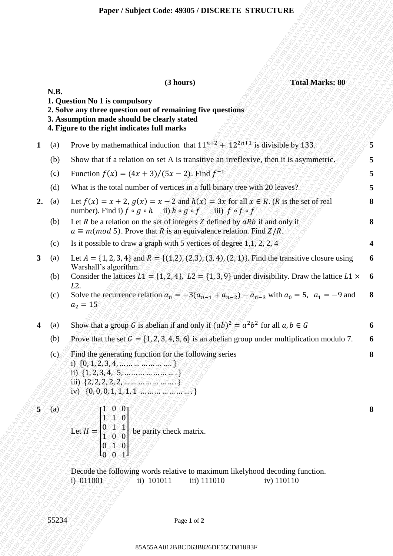|                         |           | <b>Total Marks: 80</b><br>(3 hours)                                                                                                                                                                          |
|-------------------------|-----------|--------------------------------------------------------------------------------------------------------------------------------------------------------------------------------------------------------------|
|                         | N.B.      | 1. Question No 1 is compulsory<br>2. Solve any three question out of remaining five questions<br>3. Assumption made should be clearly stated<br>4. Figure to the right indicates full marks                  |
| 1                       | (a)       | Prove by mathemathical induction that $11^{n+2} + 12^{2n+1}$ is divisible by 133.                                                                                                                            |
|                         | (b)       | Show that if a relation on set A is transitive an irreflexive, then it is asymmetric.                                                                                                                        |
|                         | (c)       | Function $f(x) = (4x + 3)/(5x - 2)$ . Find $f^{-1}$                                                                                                                                                          |
|                         | (d)       | What is the total number of vertices in a full binary tree with 20 leaves?                                                                                                                                   |
| 2.                      | (a)       | Let $f(x) = x + 2$ , $g(x) = x - 2$ and $h(x) = 3x$ for all $x \in R$ . (R is the set of real<br>number). Find i) $f \circ g \circ h$ ii) $h \circ g \circ f$ iii) $f \circ f \circ f$                       |
|                         | (b)       | Let $R$ be a relation on the set of integers $Z$ defined by $aRb$ if and only if<br>$a \equiv m (mod 5)$ . Prove that R is an equivalence relation. Find $Z/R$ .                                             |
|                         | (c)       | Is it possible to draw a graph with 5 vertices of degree $1,1, 2, 2, 4$                                                                                                                                      |
| 3 <sup>1</sup>          | (a)       | Let $A = \{1, 2, 3, 4\}$ and $R = \{(1, 2), (2, 3), (3, 4), (2, 1)\}$ . Find the transitive closure using<br>Warshall's algorithm.                                                                           |
|                         | (b)       | Consider the lattices $L1 = \{1, 2, 4\}$ , $L2 = \{1, 3, 9\}$ under divisibility. Draw the lattice $L1 \times 6$                                                                                             |
|                         | (c)       | L <sub>2</sub> .<br>Solve the recurrence relation $a_n = -3(a_{n-1} + a_{n-2}) - a_{n-3}$ with $a_0 = 5$ , $a_1 = -9$ and<br>$a_2 = 15$                                                                      |
| $\overline{\mathbf{4}}$ | (a)       | Show that a group G is abelian if and only if $(ab)^2 = a^2b^2$ for all $a, b \in G$                                                                                                                         |
|                         | (b)       | Prove that the set $G = \{1, 2, 3, 4, 5, 6\}$ is an abelian group under multiplication modulo 7.                                                                                                             |
|                         | (c)       | Find the generating function for the following series<br>i) $\{0, 1, 2, 3, 4, \ldots \}$<br>ii) $\{1, 2, 3, 4, 5, \ldots, \ldots, \ldots \}$<br>iv) $\{0, 0, 0, 1, 1, 1, 1, \ldots, 5, 5, 5, 5, \ldots\}$    |
| $5^{\circ}$             | $\Im$ (a) |                                                                                                                                                                                                              |
|                         |           | Let $H = \begin{bmatrix} 1 & 0 & 0 \\ 1 & 1 & 0 \\ 0 & 1 & 1 \\ 1 & 0 & 0 \end{bmatrix}$ be parity check matrix.<br>Let $H = \begin{bmatrix} 0 & 1 & 1 \\ 1 & 0 & 0 \\ 0 & 1 & 0 \\ 0 & 0 & 1 \end{bmatrix}$ |
|                         |           | Decode the following words relative to maximum likelyhood decoding function.<br>$-1) - 011001$<br>ii) 101011<br>iii) 111010<br>iv) 110110                                                                    |